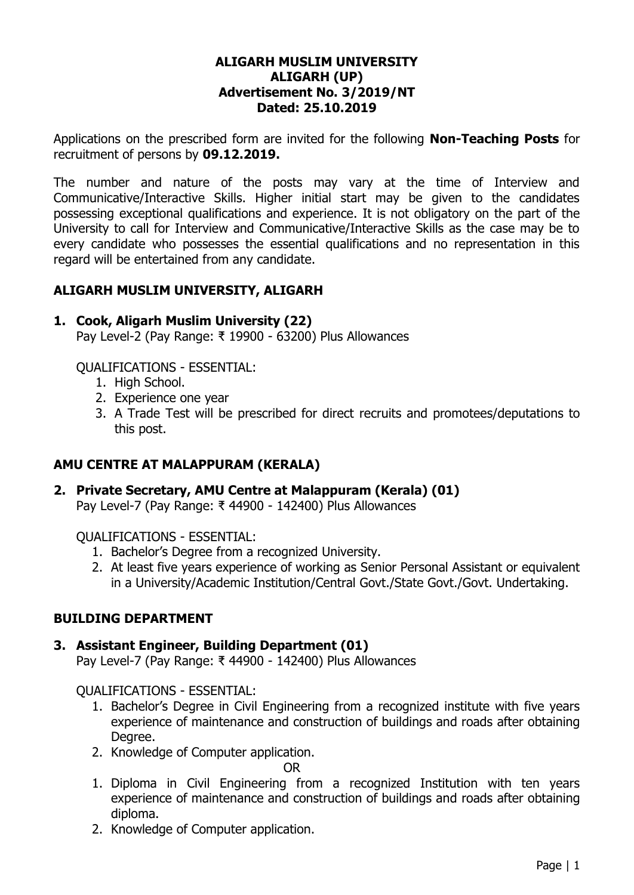#### **ALIGARH MUSLIM UNIVERSITY ALIGARH (UP) Advertisement No. 3/2019/NT Dated: 25.10.2019**

Applications on the prescribed form are invited for the following **Non-Teaching Posts** for recruitment of persons by **09.12.2019.**

The number and nature of the posts may vary at the time of Interview and Communicative/Interactive Skills. Higher initial start may be given to the candidates possessing exceptional qualifications and experience. It is not obligatory on the part of the University to call for Interview and Communicative/Interactive Skills as the case may be to every candidate who possesses the essential qualifications and no representation in this regard will be entertained from any candidate.

#### **ALIGARH MUSLIM UNIVERSITY, ALIGARH**

#### **1. Cook, Aligarh Muslim University (22)**

Pay Level-2 (Pay Range: ₹ 19900 - 63200) Plus Allowances

QUALIFICATIONS - ESSENTIAL:

- 1. High School.
- 2. Experience one year
- 3. A Trade Test will be prescribed for direct recruits and promotees/deputations to this post.

#### **AMU CENTRE AT MALAPPURAM (KERALA)**

#### **2. Private Secretary, AMU Centre at Malappuram (Kerala) (01)**

Pay Level-7 (Pay Range: ₹ 44900 - 142400) Plus Allowances

QUALIFICATIONS - ESSENTIAL:

- 1. Bachelor's Degree from a recognized University.
- 2. At least five years experience of working as Senior Personal Assistant or equivalent in a University/Academic Institution/Central Govt./State Govt./Govt. Undertaking.

#### **BUILDING DEPARTMENT**

#### **3. Assistant Engineer, Building Department (01)**

Pay Level-7 (Pay Range: ₹ 44900 - 142400) Plus Allowances

#### QUALIFICATIONS - ESSENTIAL:

- 1. Bachelor's Degree in Civil Engineering from a recognized institute with five years experience of maintenance and construction of buildings and roads after obtaining Degree.
- 2. Knowledge of Computer application.

OR

- 1. Diploma in Civil Engineering from a recognized Institution with ten years experience of maintenance and construction of buildings and roads after obtaining diploma.
- 2. Knowledge of Computer application.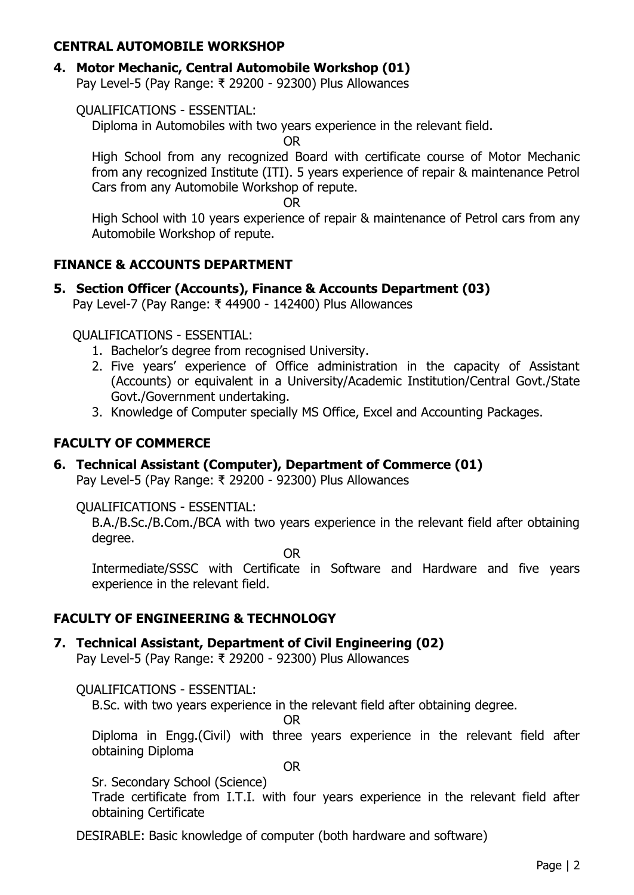## **CENTRAL AUTOMOBILE WORKSHOP**

## **4. Motor Mechanic, Central Automobile Workshop (01)**

Pay Level-5 (Pay Range: ₹ 29200 - 92300) Plus Allowances

## QUALIFICATIONS - ESSENTIAL:

Diploma in Automobiles with two years experience in the relevant field.

OR

High School from any recognized Board with certificate course of Motor Mechanic from any recognized Institute (ITI). 5 years experience of repair & maintenance Petrol Cars from any Automobile Workshop of repute.

OR

High School with 10 years experience of repair & maintenance of Petrol cars from any Automobile Workshop of repute.

## **FINANCE & ACCOUNTS DEPARTMENT**

**5. Section Officer (Accounts), Finance & Accounts Department (03)**

Pay Level-7 (Pay Range: ₹ 44900 - 142400) Plus Allowances

QUALIFICATIONS - ESSENTIAL:

- 1. Bachelor's degree from recognised University.
- 2. Five years' experience of Office administration in the capacity of Assistant (Accounts) or equivalent in a University/Academic Institution/Central Govt./State Govt./Government undertaking.
- 3. Knowledge of Computer specially MS Office, Excel and Accounting Packages.

# **FACULTY OF COMMERCE**

# **6. Technical Assistant (Computer), Department of Commerce (01)**

Pay Level-5 (Pay Range: ₹ 29200 - 92300) Plus Allowances

QUALIFICATIONS - ESSENTIAL:

B.A./B.Sc./B.Com./BCA with two years experience in the relevant field after obtaining degree.

OR

Intermediate/SSSC with Certificate in Software and Hardware and five years experience in the relevant field.

# **FACULTY OF ENGINEERING & TECHNOLOGY**

## **7. Technical Assistant, Department of Civil Engineering (02)**

Pay Level-5 (Pay Range: ₹ 29200 - 92300) Plus Allowances

QUALIFICATIONS - ESSENTIAL:

B.Sc. with two years experience in the relevant field after obtaining degree.

OR

Diploma in Engg.(Civil) with three years experience in the relevant field after obtaining Diploma

OR

Sr. Secondary School (Science)

Trade certificate from I.T.I. with four years experience in the relevant field after obtaining Certificate

DESIRABLE: Basic knowledge of computer (both hardware and software)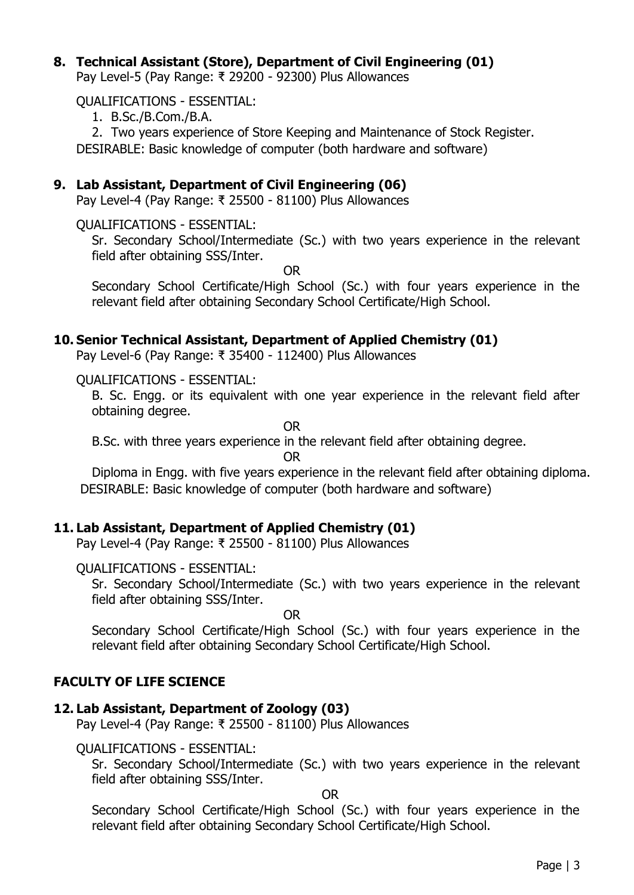### **8. Technical Assistant (Store), Department of Civil Engineering (01)**

Pay Level-5 (Pay Range: ₹ 29200 - 92300) Plus Allowances

QUALIFICATIONS - ESSENTIAL:

1. B.Sc./B.Com./B.A.

2. Two years experience of Store Keeping and Maintenance of Stock Register. DESIRABLE: Basic knowledge of computer (both hardware and software)

#### **9. Lab Assistant, Department of Civil Engineering (06)**

Pay Level-4 (Pay Range: ₹ 25500 - 81100) Plus Allowances

QUALIFICATIONS - ESSENTIAL:

Sr. Secondary School/Intermediate (Sc.) with two years experience in the relevant field after obtaining SSS/Inter.

OR

Secondary School Certificate/High School (Sc.) with four years experience in the relevant field after obtaining Secondary School Certificate/High School.

#### **10. Senior Technical Assistant, Department of Applied Chemistry (01)**

Pay Level-6 (Pay Range: ₹ 35400 - 112400) Plus Allowances

QUALIFICATIONS - ESSENTIAL:

B. Sc. Engg. or its equivalent with one year experience in the relevant field after obtaining degree.

OR

B.Sc. with three years experience in the relevant field after obtaining degree.

OR

Diploma in Engg. with five years experience in the relevant field after obtaining diploma. DESIRABLE: Basic knowledge of computer (both hardware and software)

## **11. Lab Assistant, Department of Applied Chemistry (01)**

Pay Level-4 (Pay Range: ₹ 25500 - 81100) Plus Allowances

#### QUALIFICATIONS - ESSENTIAL:

Sr. Secondary School/Intermediate (Sc.) with two years experience in the relevant field after obtaining SSS/Inter.

OR

Secondary School Certificate/High School (Sc.) with four years experience in the relevant field after obtaining Secondary School Certificate/High School.

## **FACULTY OF LIFE SCIENCE**

# **12. Lab Assistant, Department of Zoology (03)**

Pay Level-4 (Pay Range: ₹ 25500 - 81100) Plus Allowances

## QUALIFICATIONS - ESSENTIAL:

Sr. Secondary School/Intermediate (Sc.) with two years experience in the relevant field after obtaining SSS/Inter.

OR

Secondary School Certificate/High School (Sc.) with four years experience in the relevant field after obtaining Secondary School Certificate/High School.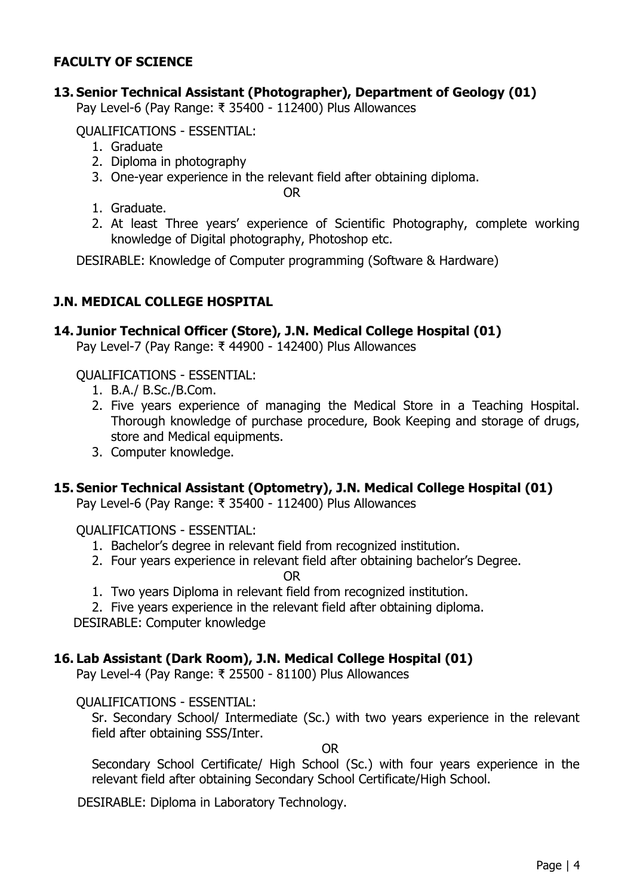# **FACULTY OF SCIENCE**

#### **13. Senior Technical Assistant (Photographer), Department of Geology (01)**

Pay Level-6 (Pay Range: ₹ 35400 - 112400) Plus Allowances

QUALIFICATIONS - ESSENTIAL:

- 1. Graduate
- 2. Diploma in photography
- 3. One-year experience in the relevant field after obtaining diploma.

OR

- 1. Graduate.
- 2. At least Three years' experience of Scientific Photography, complete working knowledge of Digital photography, Photoshop etc.

DESIRABLE: Knowledge of Computer programming (Software & Hardware)

## **J.N. MEDICAL COLLEGE HOSPITAL**

## **14. Junior Technical Officer (Store), J.N. Medical College Hospital (01)**

Pay Level-7 (Pay Range: ₹ 44900 - 142400) Plus Allowances

QUALIFICATIONS - ESSENTIAL:

- 1. B.A./ B.Sc./B.Com.
- 2. Five years experience of managing the Medical Store in a Teaching Hospital. Thorough knowledge of purchase procedure, Book Keeping and storage of drugs, store and Medical equipments.
- 3. Computer knowledge.

## **15. Senior Technical Assistant (Optometry), J.N. Medical College Hospital (01)**

Pay Level-6 (Pay Range: ₹ 35400 - 112400) Plus Allowances

QUALIFICATIONS - ESSENTIAL:

- 1. Bachelor's degree in relevant field from recognized institution.
- 2. Four years experience in relevant field after obtaining bachelor's Degree.

OR

- 1. Two years Diploma in relevant field from recognized institution.
- 2. Five years experience in the relevant field after obtaining diploma.

DESIRABLE: Computer knowledge

## **16. Lab Assistant (Dark Room), J.N. Medical College Hospital (01)**

Pay Level-4 (Pay Range: ₹ 25500 - 81100) Plus Allowances

#### QUALIFICATIONS - ESSENTIAL:

Sr. Secondary School/ Intermediate (Sc.) with two years experience in the relevant field after obtaining SSS/Inter.

OR

Secondary School Certificate/ High School (Sc.) with four years experience in the relevant field after obtaining Secondary School Certificate/High School.

DESIRABLE: Diploma in Laboratory Technology.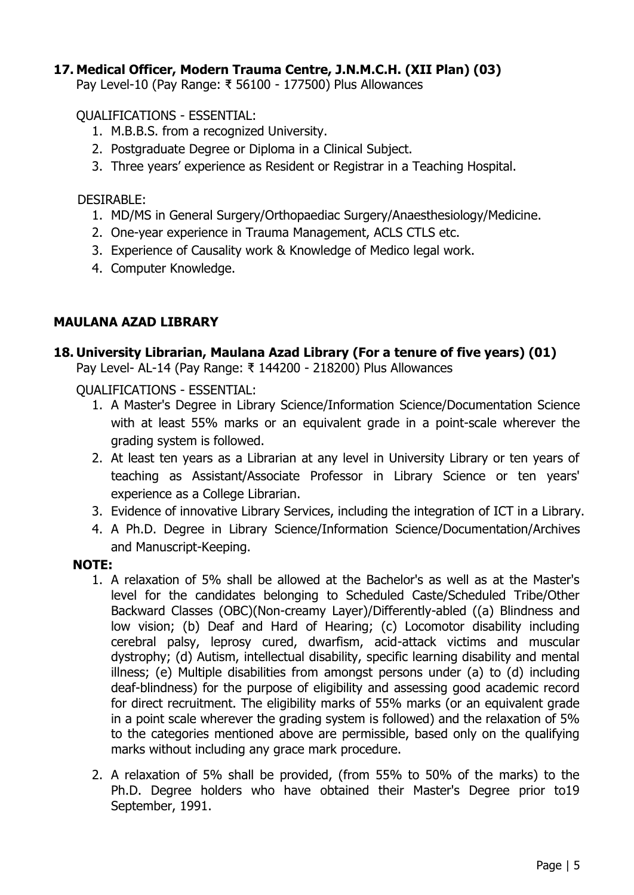## **17. Medical Officer, Modern Trauma Centre, J.N.M.C.H. (XII Plan) (03)**

Pay Level-10 (Pay Range: ₹ 56100 - 177500) Plus Allowances

#### QUALIFICATIONS - ESSENTIAL:

- 1. M.B.B.S. from a recognized University.
- 2. Postgraduate Degree or Diploma in a Clinical Subject.
- 3. Three years' experience as Resident or Registrar in a Teaching Hospital.

### DESIRABLE:

- 1. MD/MS in General Surgery/Orthopaediac Surgery/Anaesthesiology/Medicine.
- 2. One-year experience in Trauma Management, ACLS CTLS etc.
- 3. Experience of Causality work & Knowledge of Medico legal work.
- 4. Computer Knowledge.

## **MAULANA AZAD LIBRARY**

## **18. University Librarian, Maulana Azad Library (For a tenure of five years) (01)**

Pay Level- AL-14 (Pay Range: ₹ 144200 - 218200) Plus Allowances

QUALIFICATIONS - ESSENTIAL:

- 1. A Master's Degree in Library Science/Information Science/Documentation Science with at least 55% marks or an equivalent grade in a point-scale wherever the grading system is followed.
- 2. At least ten years as a Librarian at any level in University Library or ten years of teaching as Assistant/Associate Professor in Library Science or ten years' experience as a College Librarian.
- 3. Evidence of innovative Library Services, including the integration of ICT in a Library.
- 4. A Ph.D. Degree in Library Science/Information Science/Documentation/Archives and Manuscript-Keeping.

## **NOTE:**

- 1. A relaxation of 5% shall be allowed at the Bachelor's as well as at the Master's level for the candidates belonging to Scheduled Caste/Scheduled Tribe/Other Backward Classes (OBC)(Non-creamy Layer)/Differently-abled ((a) Blindness and low vision; (b) Deaf and Hard of Hearing; (c) Locomotor disability including cerebral palsy, leprosy cured, dwarfism, acid-attack victims and muscular dystrophy; (d) Autism, intellectual disability, specific learning disability and mental illness; (e) Multiple disabilities from amongst persons under (a) to (d) including deaf-blindness) for the purpose of eligibility and assessing good academic record for direct recruitment. The eligibility marks of 55% marks (or an equivalent grade in a point scale wherever the grading system is followed) and the relaxation of 5% to the categories mentioned above are permissible, based only on the qualifying marks without including any grace mark procedure.
- 2. A relaxation of 5% shall be provided, (from 55% to 50% of the marks) to the Ph.D. Degree holders who have obtained their Master's Degree prior to19 September, 1991.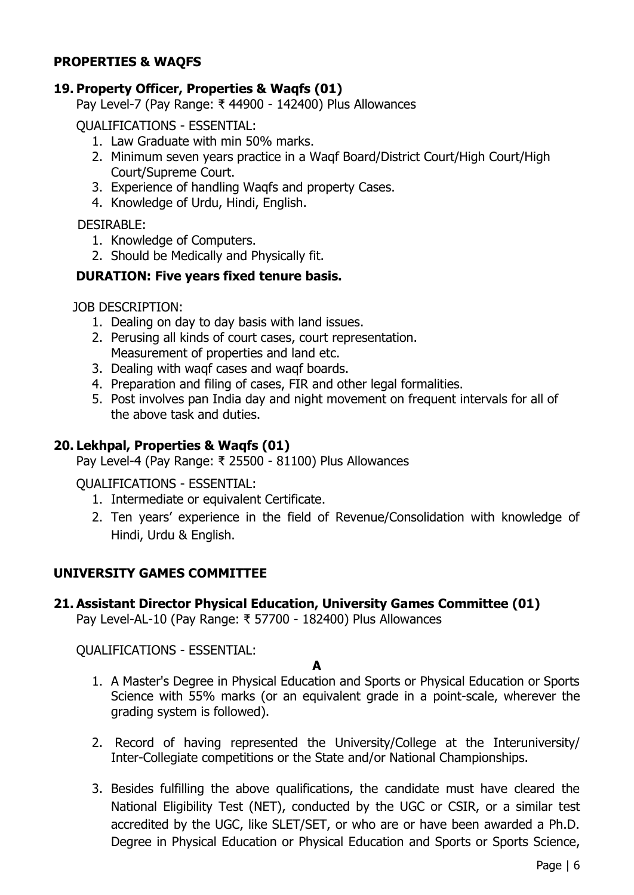## **PROPERTIES & WAQFS**

## **19. Property Officer, Properties & Waqfs (01)**

Pay Level-7 (Pay Range: ₹ 44900 - 142400) Plus Allowances

QUALIFICATIONS - ESSENTIAL:

- 1. Law Graduate with min 50% marks.
- 2. Minimum seven years practice in a Waqf Board/District Court/High Court/High Court/Supreme Court.
- 3. Experience of handling Waqfs and property Cases.
- 4. Knowledge of Urdu, Hindi, English.

DESIRABLE:

- 1. Knowledge of Computers.
- 2. Should be Medically and Physically fit.

# **DURATION: Five years fixed tenure basis.**

JOB DESCRIPTION:

- 1. Dealing on day to day basis with land issues.
- 2. Perusing all kinds of court cases, court representation. Measurement of properties and land etc.
- 3. Dealing with waqf cases and waqf boards.
- 4. Preparation and filing of cases, FIR and other legal formalities.
- 5. Post involves pan India day and night movement on frequent intervals for all of the above task and duties.

# **20. Lekhpal, Properties & Waqfs (01)**

Pay Level-4 (Pay Range: ₹ 25500 - 81100) Plus Allowances

QUALIFICATIONS - ESSENTIAL:

- 1. Intermediate or equivalent Certificate.
- 2. Ten years' experience in the field of Revenue/Consolidation with knowledge of Hindi, Urdu & English.

# **UNIVERSITY GAMES COMMITTEE**

# **21. Assistant Director Physical Education, University Games Committee (01)**

Pay Level-AL-10 (Pay Range: ₹ 57700 - 182400) Plus Allowances

QUALIFICATIONS - ESSENTIAL:

**A**

- 1. A Master's Degree in Physical Education and Sports or Physical Education or Sports Science with 55% marks (or an equivalent grade in a point-scale, wherever the grading system is followed).
- 2. Record of having represented the University/College at the Interuniversity/ Inter-Collegiate competitions or the State and/or National Championships.
- 3. Besides fulfilling the above qualifications, the candidate must have cleared the National Eligibility Test (NET), conducted by the UGC or CSIR, or a similar test accredited by the UGC, like SLET/SET, or who are or have been awarded a Ph.D. Degree in Physical Education or Physical Education and Sports or Sports Science,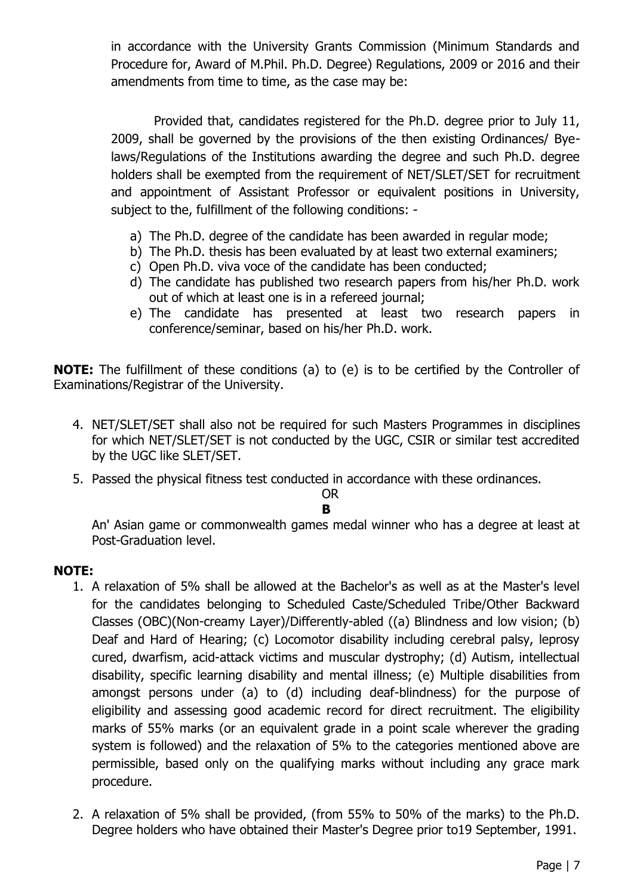in accordance with the University Grants Commission (Minimum Standards and Procedure for, Award of M.Phil. Ph.D. Degree) Regulations, 2009 or 2016 and their amendments from time to time, as the case may be:

 Provided that, candidates registered for the Ph.D. degree prior to July 11, 2009, shall be governed by the provisions of the then existing Ordinances/ Byelaws/Regulations of the Institutions awarding the degree and such Ph.D. degree holders shall be exempted from the requirement of NET/SLET/SET for recruitment and appointment of Assistant Professor or equivalent positions in University, subject to the, fulfillment of the following conditions: -

- a) The Ph.D. degree of the candidate has been awarded in regular mode;
- b) The Ph.D. thesis has been evaluated by at least two external examiners;
- c) Open Ph.D. viva voce of the candidate has been conducted;
- d) The candidate has published two research papers from his/her Ph.D. work out of which at least one is in a refereed journal;
- e) The candidate has presented at least two research papers in conference/seminar, based on his/her Ph.D. work.

**NOTE:** The fulfillment of these conditions (a) to (e) is to be certified by the Controller of Examinations/Registrar of the University.

- 4. NET/SLET/SET shall also not be required for such Masters Programmes in disciplines for which NET/SLET/SET is not conducted by the UGC, CSIR or similar test accredited by the UGC like SLET/SET.
- 5. Passed the physical fitness test conducted in accordance with these ordinances.

OR **B**

An' Asian game or commonwealth games medal winner who has a degree at least at Post-Graduation level.

## **NOTE:**

- 1. A relaxation of 5% shall be allowed at the Bachelor's as well as at the Master's level for the candidates belonging to Scheduled Caste/Scheduled Tribe/Other Backward Classes (OBC)(Non-creamy Layer)/Differently-abled ((a) Blindness and low vision; (b) Deaf and Hard of Hearing; (c) Locomotor disability including cerebral palsy, leprosy cured, dwarfism, acid-attack victims and muscular dystrophy; (d) Autism, intellectual disability, specific learning disability and mental illness; (e) Multiple disabilities from amongst persons under (a) to (d) including deaf-blindness) for the purpose of eligibility and assessing good academic record for direct recruitment. The eligibility marks of 55% marks (or an equivalent grade in a point scale wherever the grading system is followed) and the relaxation of 5% to the categories mentioned above are permissible, based only on the qualifying marks without including any grace mark procedure.
- 2. A relaxation of 5% shall be provided, (from 55% to 50% of the marks) to the Ph.D. Degree holders who have obtained their Master's Degree prior to19 September, 1991.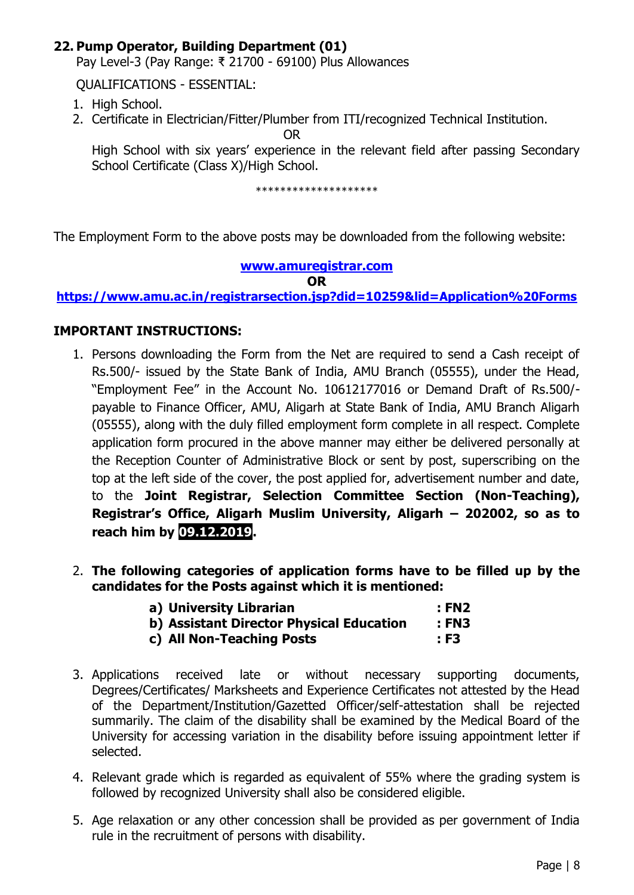## **22. Pump Operator, Building Department (01)**

Pay Level-3 (Pay Range: ₹ 21700 - 69100) Plus Allowances

QUALIFICATIONS - ESSENTIAL:

- 1. High School.
- 2. Certificate in Electrician/Fitter/Plumber from ITI/recognized Technical Institution.

OR

High School with six years' experience in the relevant field after passing Secondary School Certificate (Class X)/High School.

\*\*\*\*\*\*\*\*\*\*\*\*\*\*\*\*\*\*\*\*

The Employment Form to the above posts may be downloaded from the following website:

#### **[www.amuregistrar.com](http://www.amuregistrar.com/)**

**OR**

**<https://www.amu.ac.in/registrarsection.jsp?did=10259&lid=Application%20Forms>**

#### **IMPORTANT INSTRUCTIONS:**

- 1. Persons downloading the Form from the Net are required to send a Cash receipt of Rs.500/- issued by the State Bank of India, AMU Branch (05555), under the Head, "Employment Fee" in the Account No. 10612177016 or Demand Draft of Rs.500/ payable to Finance Officer, AMU, Aligarh at State Bank of India, AMU Branch Aligarh (05555), along with the duly filled employment form complete in all respect. Complete application form procured in the above manner may either be delivered personally at the Reception Counter of Administrative Block or sent by post, superscribing on the top at the left side of the cover, the post applied for, advertisement number and date, to the **Joint Registrar, Selection Committee Section (Non-Teaching), Registrar's Office, Aligarh Muslim University, Aligarh – 202002, so as to reach him by 09.12.2019.**
- 2. **The following categories of application forms have to be filled up by the candidates for the Posts against which it is mentioned:**

| a) University Librarian                  | : FN2 |
|------------------------------------------|-------|
| b) Assistant Director Physical Education | : FN3 |
| c) All Non-Teaching Posts                | : F3  |

- 3. Applications received late or without necessary supporting documents, Degrees/Certificates/ Marksheets and Experience Certificates not attested by the Head of the Department/Institution/Gazetted Officer/self-attestation shall be rejected summarily. The claim of the disability shall be examined by the Medical Board of the University for accessing variation in the disability before issuing appointment letter if selected.
- 4. Relevant grade which is regarded as equivalent of 55% where the grading system is followed by recognized University shall also be considered eligible.
- 5. Age relaxation or any other concession shall be provided as per government of India rule in the recruitment of persons with disability.